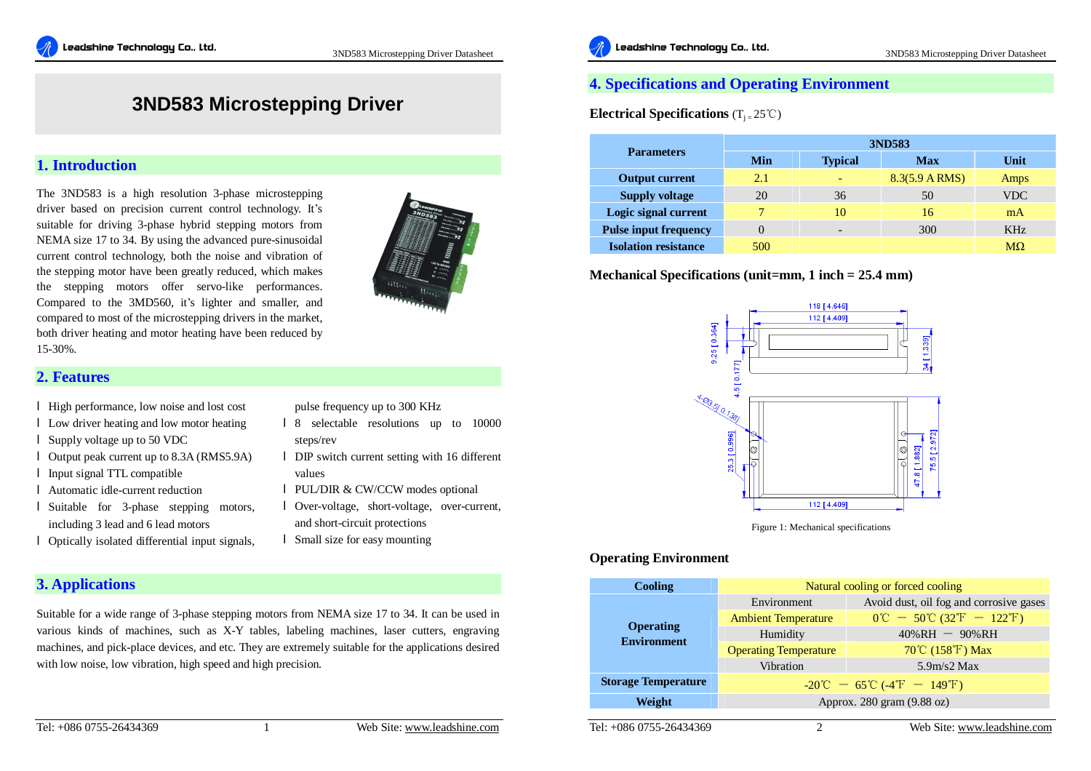# **3ND583 Microstepping Driver**

# **1. Introduction**

The 3ND583 is a high resolution 3-phase microstepping driver based on precision current control technology. It's suitable for driving 3-phase hybrid stepping motors from NEMA size 17 to 34. By using the advanced pure-sinusoidal current control technology, both the noise and vibration of the stepping motor have been greatly reduced, which makes the stepping motors offer servo-like performances. Compared to the 3MD560, it's lighter and smaller, and compared to most of the microstepping drivers in the market, both driver heating and motor heating have been reduced by 15-30%.



### **2. Features**

- l High performance, low noise and lost cost
- l Low driver heating and low motor heating
- l Supply voltage up to 50 VDC
- l Output peak current up to 8.3A (RMS5.9A)
- l Input signal TTL compatible
- l Automatic idle-current reduction
- l Suitable for 3-phase stepping motors, including 3 lead and 6 lead motors
- l Optically isolated differential input signals,

**3. Applications** 

pulse frequency up to 300 KHz

- l 8 selectable resolutions up to 10000 steps/rev
- l DIP switch current setting with 16 different values
- l PUL/DIR & CW/CCW modes optional
- l Over-voltage, short-voltage, over-current, and short-circuit protections
- l Small size for easy mounting

Suitable for a wide range of 3-phase stepping motors from NEMA size 17 to 34. It can be used in various kinds of machines, such as X-Y tables, labeling machines, laser cutters, engraving machines, and pick-place devices, and etc. They are extremely suitable for the applications desired with low noise, low vibration, high speed and high precision.



# **4. Specifications and Operating Environment**

**Electrical Specifications** (T<sup>j</sup> <sup>=</sup>25℃)

|                              | 3ND583 |                |                |                 |  |  |  |
|------------------------------|--------|----------------|----------------|-----------------|--|--|--|
| <b>Parameters</b>            | Min    | <b>Typical</b> | Max            | Unit            |  |  |  |
| <b>Output current</b>        | 2.1    |                | 8.3(5.9 A RMS) | Amps            |  |  |  |
| <b>Supply voltage</b>        | 20     | 36             | 50             | <b>VDC</b>      |  |  |  |
| Logic signal current         |        | 10             | 16             | mA              |  |  |  |
| <b>Pulse input frequency</b> |        |                | 300            | KH <sub>z</sub> |  |  |  |
| <b>Isolation resistance</b>  | 500    |                |                | MO              |  |  |  |

### **Mechanical Specifications (unit=mm, 1 inch = 25.4 mm)**



Figure 1: Mechanical specifications

## **Operating Environment**

| <b>Cooling</b>             | Natural cooling or forced cooling                                                   |                                                                                     |  |  |  |  |  |
|----------------------------|-------------------------------------------------------------------------------------|-------------------------------------------------------------------------------------|--|--|--|--|--|
|                            | Environment                                                                         | Avoid dust, oil fog and corrosive gases                                             |  |  |  |  |  |
|                            | <b>Ambient Temperature</b>                                                          | $0^{\circ}\text{C} - 50^{\circ}\text{C} (32^{\circ}\text{F} - 122^{\circ}\text{F})$ |  |  |  |  |  |
| <b>Operating</b>           | Humidity                                                                            | $40\%$ RH $-90\%$ RH                                                                |  |  |  |  |  |
| <b>Environment</b>         | <b>Operating Temperature</b>                                                        | 70℃ (158°F) Max                                                                     |  |  |  |  |  |
|                            | Vibration                                                                           | 5.9 <sub>m</sub> /s2 <sub>M</sub> ax                                                |  |  |  |  |  |
| <b>Storage Temperature</b> | $-20^{\circ}\text{C} - 65^{\circ}\text{C}$ (-4 <sup>°</sup> F - 149 <sup>°</sup> F) |                                                                                     |  |  |  |  |  |
| Weight                     | Approx. 280 gram (9.88 oz)                                                          |                                                                                     |  |  |  |  |  |
|                            |                                                                                     |                                                                                     |  |  |  |  |  |

Tel: +086 0755-26434369 2 Web Site: [www.leadshine.com](http://www.leadshine.com)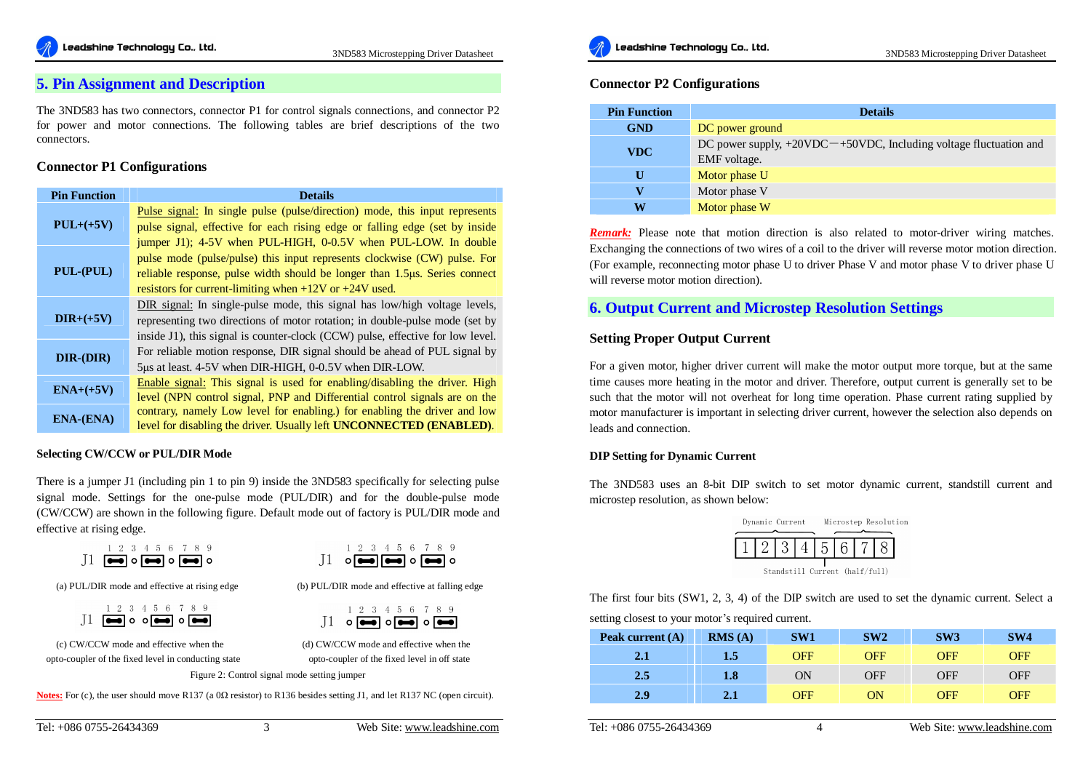## **5. Pin Assignment and Description**

The 3ND583 has two connectors, connector P1 for control signals connections, and connector P2 for power and motor connections. The following tables are brief descriptions of the two connectors.

#### **Connector P1 Configurations**

| <b>Pin Function</b> | <b>Details</b>                                                                                                                                                    |
|---------------------|-------------------------------------------------------------------------------------------------------------------------------------------------------------------|
| $PUL+(+5V)$         | <u>Pulse signal:</u> In single pulse (pulse/direction) mode, this input represents<br>pulse signal, effective for each rising edge or falling edge (set by inside |
|                     | jumper J1); 4-5V when PUL-HIGH, 0-0.5V when PUL-LOW. In double                                                                                                    |
|                     | pulse mode (pulse/pulse) this input represents clockwise (CW) pulse. For                                                                                          |
| PUL-(PUL)           | reliable response, pulse width should be longer than 1.5µs. Series connect                                                                                        |
|                     | resistors for current-limiting when $+12V$ or $+24V$ used.                                                                                                        |
|                     | DIR signal: In single-pulse mode, this signal has low/high voltage levels,                                                                                        |
| $DIR+(+5V)$         | representing two directions of motor rotation; in double-pulse mode (set by                                                                                       |
|                     | inside J1), this signal is counter-clock (CCW) pulse, effective for low level.                                                                                    |
| DIR-(DIR)           | For reliable motion response, DIR signal should be ahead of PUL signal by                                                                                         |
|                     | 5µs at least. 4-5V when DIR-HIGH, 0-0.5V when DIR-LOW.                                                                                                            |
| $ENA+(+5V)$         | <b>Enable signal:</b> This signal is used for enabling/disabling the driver. High                                                                                 |
|                     | level (NPN control signal, PNP and Differential control signals are on the                                                                                        |
| <b>ENA-(ENA)</b>    | contrary, namely Low level for enabling.) for enabling the driver and low                                                                                         |
|                     | level for disabling the driver. Usually left UNCONNECTED (ENABLED).                                                                                               |

#### **Selecting CW/CCW or PUL/DIR Mode**

There is a jumper J1 (including pin 1 to pin 9) inside the 3ND583 specifically for selecting pulse signal mode. Settings for the one-pulse mode (PUL/DIR) and for the double-pulse mode (CW/CCW) are shown in the following figure. Default mode out of factory is PUL/DIR mode and effective at rising edge.

|                                                           |  | 23456789 |  |  |  |
|-----------------------------------------------------------|--|----------|--|--|--|
| $J1 \n\blacksquare \circ \blacksquare \circ \blacksquare$ |  |          |  |  |  |

|  | 9345 |  |                                                           |  |  |
|--|------|--|-----------------------------------------------------------|--|--|
|  |      |  | $\circ$ $\bullet$ $\bullet$ $\bullet$ $\bullet$ $\bullet$ |  |  |

1 2 3 4 5 6 7 8 9  $\text{II}$  or  $\blacksquare$ or  $\blacksquare$ or  $\blacksquare$ 

(a) PUL/DIR mode and effective at rising edge (b) PUL/DIR mode and effective at falling edge

|                                                                                                                          |  |  |  | 2 3 4 5 6 7 8 9 |  |
|--------------------------------------------------------------------------------------------------------------------------|--|--|--|-----------------|--|
| $\mathop{1\hskip-2.5pt {\rm\,I}}\nolimits$ $\mathop{0}$ $\mathop{0}$ $\mathop{0}$ $\mathop{0}$ $\mathop{0}$ $\mathop{0}$ |  |  |  |                 |  |

(c) CW/CCW mode and effective when the (d) CW/CCW mode and effective when the opto-coupler of the fixed level in conducting state opto-coupler of the fixed level in off state

Figure 2: Control signal mode setting jumper

 $\mathsf{T}$ 

**Notes:** For (c), the user should move R137 (a 0Ω resistor) to R136 besides setting J1, and let R137 NC (open circuit).



#### **Connector P2 Configurations**

| <b>Pin Function</b> | <b>Details</b>                                                                         |
|---------------------|----------------------------------------------------------------------------------------|
| <b>GND</b>          | DC power ground                                                                        |
| <b>VDC</b>          | DC power supply, $+20VDC - +50VDC$ , Including voltage fluctuation and<br>EMF voltage. |
| U                   | Motor phase U                                                                          |
| v                   | Motor phase V                                                                          |
| W                   | Motor phase W                                                                          |

*Remark:* Please note that motion direction is also related to motor-driver wiring matches. Exchanging the connections of two wires of a coil to the driver will reverse motor motion direction. (For example, reconnecting motor phase U to driver Phase V and motor phase V to driver phase U will reverse motor motion direction).

# **6. Output Current and Microstep Resolution Settings**

#### **Setting Proper Output Current**

For a given motor, higher driver current will make the motor output more torque, but at the same time causes more heating in the motor and driver. Therefore, output current is generally set to be such that the motor will not overheat for long time operation. Phase current rating supplied by motor manufacturer is important in selecting driver current, however the selection also depends on leads and connection.

#### **DIP Setting for Dynamic Current**

The 3ND583 uses an 8-bit DIP switch to set motor dynamic current, standstill current and microstep resolution, as shown below:

|                                | Dynamic Current |  |             | Microstep Resolution |  |  |  |  |
|--------------------------------|-----------------|--|-------------|----------------------|--|--|--|--|
|                                |                 |  | 2 3 4 5 6 7 |                      |  |  |  |  |
| Standstill Current (half/full) |                 |  |             |                      |  |  |  |  |

The first four bits (SW1, 2, 3, 4) of the DIP switch are used to set the dynamic current. Select a

setting closest to your motor's required current.

| Peak current $(A)$ | RMS(A) | SW1        | SW2        | SW3        | SW4 |
|--------------------|--------|------------|------------|------------|-----|
| 2.1                | 1.5    | <b>OFF</b> | <b>OFF</b> | <b>OFF</b> | OFF |
| 2.5                | 1.8    | ON         | <b>OFF</b> | <b>OFF</b> | OFF |
| 2.9                | 2.1    | <b>OFF</b> | ON         | <b>OFF</b> | OFF |

Tel: +086 0755-26434369 4 Web Site: [www.leadshine.com](http://www.leadshine.com)